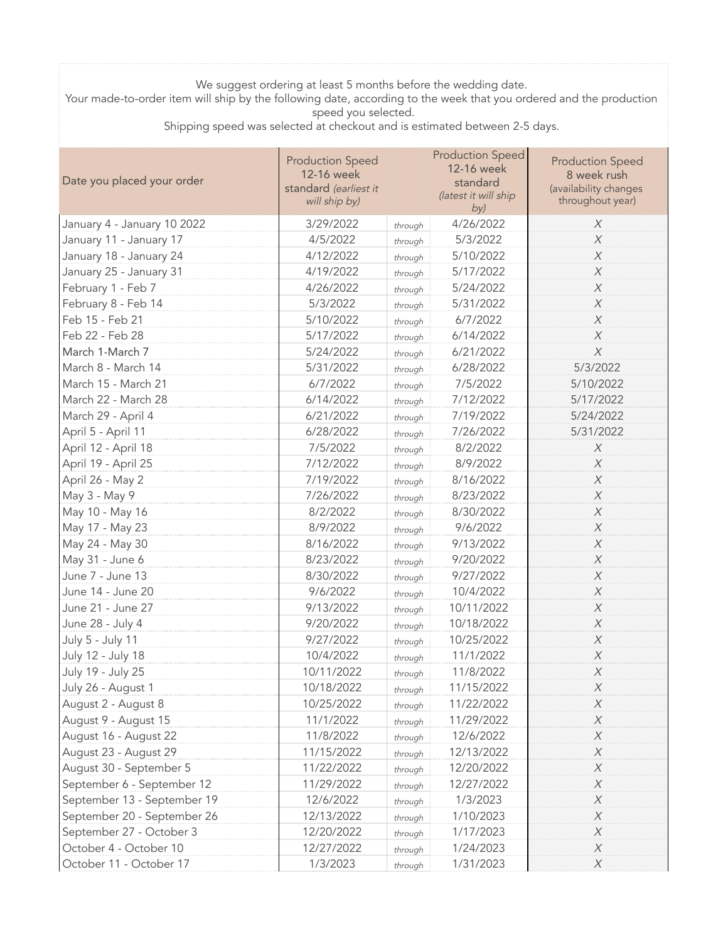## We suggest ordering at least 5 months before the wedding date.

Your made-to-order item will ship by the following date, according to the week that you ordered and the production speed you selected.

Shipping speed was selected at checkout and is estimated between 2-5 days.

| Date you placed your order  | <b>Production Speed</b><br>12-16 week<br>standard (earliest it<br>will ship by) |         | <b>Production Speed</b><br>12-16 week<br>standard<br>(latest it will ship<br>by) | <b>Production Speed</b><br>8 week rush<br>(availability changes<br>throughout year) |
|-----------------------------|---------------------------------------------------------------------------------|---------|----------------------------------------------------------------------------------|-------------------------------------------------------------------------------------|
| January 4 - January 10 2022 | 3/29/2022                                                                       | through | 4/26/2022                                                                        | X                                                                                   |
| January 11 - January 17     | 4/5/2022                                                                        | through | 5/3/2022                                                                         | X                                                                                   |
| January 18 - January 24     | 4/12/2022                                                                       | through | 5/10/2022                                                                        | $\chi$                                                                              |
| January 25 - January 31     | 4/19/2022                                                                       | through | 5/17/2022                                                                        | X                                                                                   |
| February 1 - Feb 7          | 4/26/2022                                                                       | through | 5/24/2022                                                                        | $\chi$                                                                              |
| February 8 - Feb 14         | 5/3/2022                                                                        | through | 5/31/2022                                                                        | X                                                                                   |
| Feb 15 - Feb 21             | 5/10/2022                                                                       | through | 6/7/2022                                                                         | $\chi$                                                                              |
| Feb 22 - Feb 28             | 5/17/2022                                                                       | through | 6/14/2022                                                                        | $\chi$                                                                              |
| March 1-March 7             | 5/24/2022                                                                       | through | 6/21/2022                                                                        | $\chi$                                                                              |
| March 8 - March 14          | 5/31/2022                                                                       | through | 6/28/2022                                                                        | 5/3/2022                                                                            |
| March 15 - March 21         | 6/7/2022                                                                        | through | 7/5/2022                                                                         | 5/10/2022                                                                           |
| March 22 - March 28         | 6/14/2022                                                                       | through | 7/12/2022                                                                        | 5/17/2022                                                                           |
| March 29 - April 4          | 6/21/2022                                                                       | through | 7/19/2022                                                                        | 5/24/2022                                                                           |
| April 5 - April 11          | 6/28/2022                                                                       | through | 7/26/2022                                                                        | 5/31/2022                                                                           |
| April 12 - April 18         | 7/5/2022                                                                        | through | 8/2/2022                                                                         | $\chi$                                                                              |
| April 19 - April 25         | 7/12/2022                                                                       | through | 8/9/2022                                                                         | $\chi$                                                                              |
| April 26 - May 2            | 7/19/2022                                                                       | through | 8/16/2022                                                                        | $\chi$                                                                              |
| May 3 - May 9               | 7/26/2022                                                                       | through | 8/23/2022                                                                        | X                                                                                   |
| May 10 - May 16             | 8/2/2022                                                                        | through | 8/30/2022                                                                        | $\chi$                                                                              |
| May 17 - May 23             | 8/9/2022                                                                        | through | 9/6/2022                                                                         | $\chi$                                                                              |
| May 24 - May 30             | 8/16/2022                                                                       | through | 9/13/2022                                                                        | $\chi$                                                                              |
| May 31 - June 6             | 8/23/2022                                                                       | through | 9/20/2022                                                                        | X                                                                                   |
| June 7 - June 13            | 8/30/2022                                                                       | through | 9/27/2022                                                                        | $\chi$                                                                              |
| June 14 - June 20           | 9/6/2022                                                                        | through | 10/4/2022                                                                        | $\boldsymbol{X}$                                                                    |
| June 21 - June 27           | 9/13/2022                                                                       | through | 10/11/2022                                                                       | $\chi$                                                                              |
| June 28 - July 4            | 9/20/2022                                                                       | through | 10/18/2022                                                                       | $\chi$                                                                              |
| July 5 - July 11            | 9/27/2022                                                                       | through | 10/25/2022                                                                       | $\chi$                                                                              |
| July 12 - July 18           | 10/4/2022                                                                       | through | 11/1/2022                                                                        | $\boldsymbol{X}$                                                                    |
| July 19 - July 25           | 10/11/2022                                                                      | through | 11/8/2022                                                                        | $\boldsymbol{X}$                                                                    |
| July 26 - August 1          | 10/18/2022                                                                      | through | 11/15/2022                                                                       | X                                                                                   |
| August 2 - August 8         | 10/25/2022                                                                      | through | 11/22/2022                                                                       | $\chi$                                                                              |
| August 9 - August 15        | 11/1/2022                                                                       | through | 11/29/2022                                                                       | $\chi$                                                                              |
| August 16 - August 22       | 11/8/2022                                                                       | through | 12/6/2022                                                                        | $\chi$                                                                              |
| August 23 - August 29       | 11/15/2022                                                                      | through | 12/13/2022                                                                       | $\chi$                                                                              |
| August 30 - September 5     | 11/22/2022                                                                      | through | 12/20/2022                                                                       | X                                                                                   |
| September 6 - September 12  | 11/29/2022                                                                      | through | 12/27/2022                                                                       | $\chi$                                                                              |
| September 13 - September 19 | 12/6/2022                                                                       | through | 1/3/2023                                                                         | X                                                                                   |
| September 20 - September 26 | 12/13/2022                                                                      | through | 1/10/2023                                                                        | $\chi$                                                                              |
| September 27 - October 3    | 12/20/2022                                                                      | through | 1/17/2023                                                                        | $\chi$                                                                              |
| October 4 - October 10      | 12/27/2022                                                                      | through | 1/24/2023                                                                        | $\boldsymbol{X}$                                                                    |
| October 11 - October 17     | 1/3/2023                                                                        | through | 1/31/2023                                                                        | $\chi$                                                                              |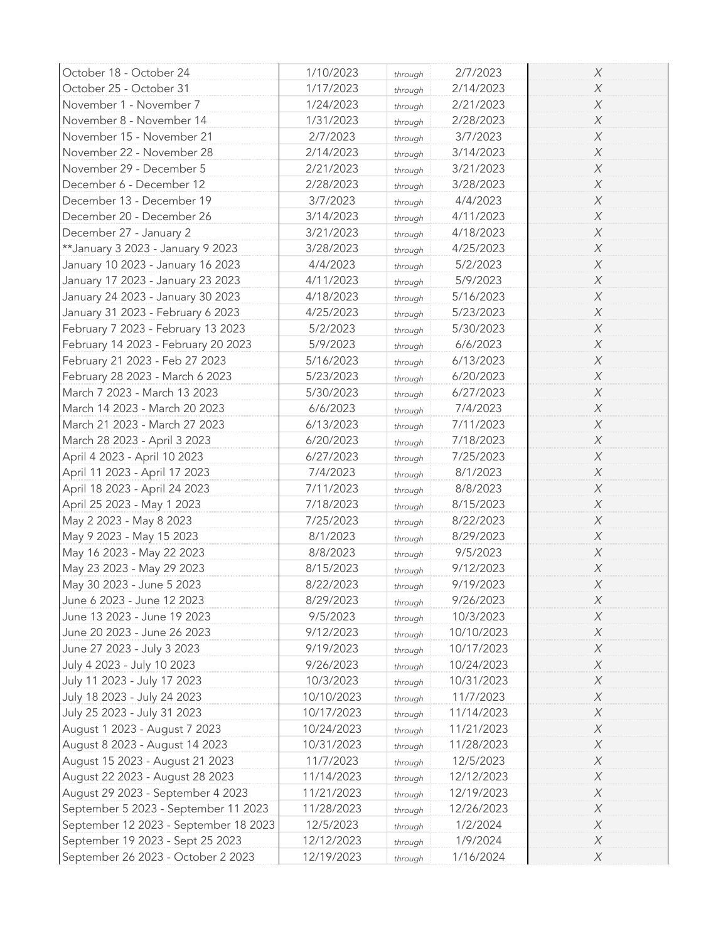| October 18 - October 24               | 1/10/2023  | through | 2/7/2023   | X                |
|---------------------------------------|------------|---------|------------|------------------|
| October 25 - October 31               | 1/17/2023  | through | 2/14/2023  | X                |
| November 1 - November 7               | 1/24/2023  | through | 2/21/2023  | $\boldsymbol{X}$ |
| November 8 - November 14              | 1/31/2023  | through | 2/28/2023  | $\boldsymbol{X}$ |
| November 15 - November 21             | 2/7/2023   | through | 3/7/2023   | $\boldsymbol{X}$ |
| November 22 - November 28             | 2/14/2023  | through | 3/14/2023  | X                |
| November 29 - December 5              | 2/21/2023  | through | 3/21/2023  | $\boldsymbol{X}$ |
| December 6 - December 12              | 2/28/2023  | through | 3/28/2023  | $\boldsymbol{X}$ |
| December 13 - December 19             | 3/7/2023   | through | 4/4/2023   | X                |
| December 20 - December 26             | 3/14/2023  | through | 4/11/2023  | $\boldsymbol{X}$ |
| December 27 - January 2               | 3/21/2023  | through | 4/18/2023  | $\boldsymbol{X}$ |
| ** January 3 2023 - January 9 2023    | 3/28/2023  | through | 4/25/2023  | $\boldsymbol{X}$ |
| January 10 2023 - January 16 2023     | 4/4/2023   | through | 5/2/2023   | X                |
| January 17 2023 - January 23 2023     | 4/11/2023  | through | 5/9/2023   | X                |
| January 24 2023 - January 30 2023     | 4/18/2023  | through | 5/16/2023  | $\boldsymbol{X}$ |
| January 31 2023 - February 6 2023     | 4/25/2023  | through | 5/23/2023  | $\boldsymbol{X}$ |
| February 7 2023 - February 13 2023    | 5/2/2023   | through | 5/30/2023  | $\boldsymbol{X}$ |
| February 14 2023 - February 20 2023   | 5/9/2023   | through | 6/6/2023   | X                |
| February 21 2023 - Feb 27 2023        | 5/16/2023  | through | 6/13/2023  | $\boldsymbol{X}$ |
| February 28 2023 - March 6 2023       | 5/23/2023  | through | 6/20/2023  | $\boldsymbol{X}$ |
| March 7 2023 - March 13 2023          | 5/30/2023  | through | 6/27/2023  | X                |
| March 14 2023 - March 20 2023         | 6/6/2023   | through | 7/4/2023   | $\boldsymbol{X}$ |
| March 21 2023 - March 27 2023         | 6/13/2023  |         | 7/11/2023  | $\boldsymbol{X}$ |
| March 28 2023 - April 3 2023          | 6/20/2023  | through | 7/18/2023  | $\boldsymbol{X}$ |
| April 4 2023 - April 10 2023          | 6/27/2023  | through | 7/25/2023  | X                |
|                                       | 7/4/2023   | through | 8/1/2023   | X                |
| April 11 2023 - April 17 2023         | 7/11/2023  | through | 8/8/2023   | $\boldsymbol{X}$ |
| April 18 2023 - April 24 2023         |            | through |            | $\boldsymbol{X}$ |
| April 25 2023 - May 1 2023            | 7/18/2023  | through | 8/15/2023  |                  |
| May 2 2023 - May 8 2023               | 7/25/2023  | through | 8/22/2023  | X                |
| May 9 2023 - May 15 2023              | 8/1/2023   | through | 8/29/2023  | $\boldsymbol{X}$ |
| May 16 2023 - May 22 2023             | 8/8/2023   | through | 9/5/2023   | X                |
| May 23 2023 - May 29 2023             | 8/15/2023  | through | 9/12/2023  | $\boldsymbol{X}$ |
| May 30 2023 - June 5 2023             | 8/22/2023  | through | 9/19/2023  | $\boldsymbol{X}$ |
| June 6 2023 - June 12 2023            | 8/29/2023  | through | 9/26/2023  | X                |
| June 13 2023 - June 19 2023           | 9/5/2023   | through | 10/3/2023  | X                |
| June 20 2023 - June 26 2023           | 9/12/2023  | through | 10/10/2023 | $\boldsymbol{X}$ |
| June 27 2023 - July 3 2023            | 9/19/2023  | through | 10/17/2023 | X                |
| July 4 2023 - July 10 2023            | 9/26/2023  | through | 10/24/2023 | X                |
| July 11 2023 - July 17 2023           | 10/3/2023  | through | 10/31/2023 | $\boldsymbol{X}$ |
| July 18 2023 - July 24 2023           | 10/10/2023 | through | 11/7/2023  | $\boldsymbol{X}$ |
| July 25 2023 - July 31 2023           | 10/17/2023 | through | 11/14/2023 | X                |
| August 1 2023 - August 7 2023         | 10/24/2023 | through | 11/21/2023 | $\boldsymbol{X}$ |
| August 8 2023 - August 14 2023        | 10/31/2023 | through | 11/28/2023 | X                |
| August 15 2023 - August 21 2023       | 11/7/2023  | through | 12/5/2023  | $\boldsymbol{X}$ |
| August 22 2023 - August 28 2023       | 11/14/2023 | through | 12/12/2023 | X                |
| August 29 2023 - September 4 2023     | 11/21/2023 | through | 12/19/2023 | $\boldsymbol{X}$ |
| September 5 2023 - September 11 2023  | 11/28/2023 | through | 12/26/2023 | $\boldsymbol{X}$ |
| September 12 2023 - September 18 2023 | 12/5/2023  | through | 1/2/2024   | $\boldsymbol{X}$ |
| September 19 2023 - Sept 25 2023      | 12/12/2023 | through | 1/9/2024   | $\boldsymbol{X}$ |
| September 26 2023 - October 2 2023    | 12/19/2023 | through | 1/16/2024  | $\chi$           |